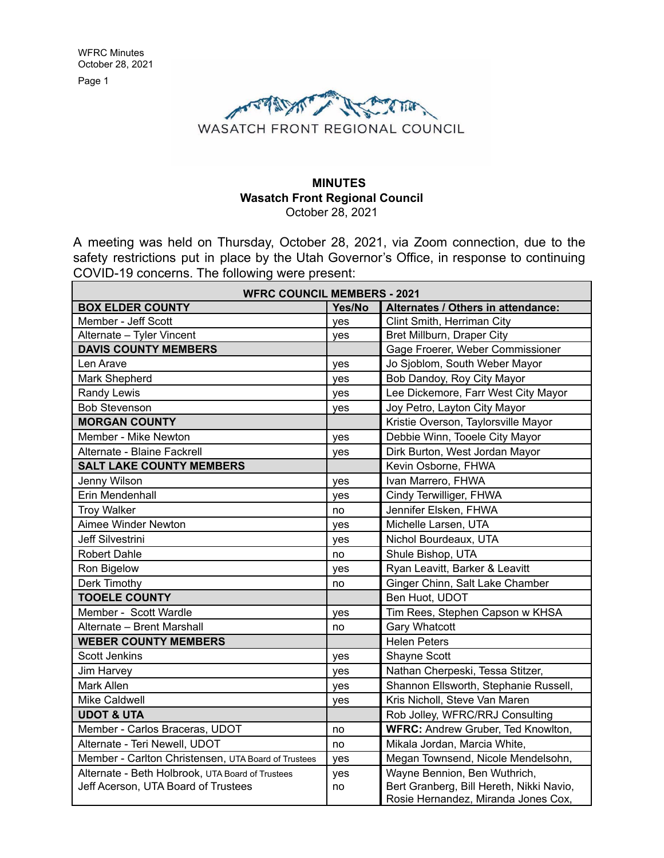Page 1



#### **MINUTES Wasatch Front Regional Council** October 28, 2021

A meeting was held on Thursday, October 28, 2021, via Zoom connection, due to the safety restrictions put in place by the Utah Governor's Office, in response to continuing COVID-19 concerns. The following were present:

| <b>WFRC COUNCIL MEMBERS - 2021</b>                  |        |                                          |  |
|-----------------------------------------------------|--------|------------------------------------------|--|
| <b>BOX ELDER COUNTY</b>                             | Yes/No | Alternates / Others in attendance:       |  |
| Member - Jeff Scott                                 | ves    | Clint Smith, Herriman City               |  |
| Alternate - Tyler Vincent                           | yes    | Bret Millburn, Draper City               |  |
| <b>DAVIS COUNTY MEMBERS</b>                         |        | Gage Froerer, Weber Commissioner         |  |
| Len Arave                                           | yes    | Jo Sjoblom, South Weber Mayor            |  |
| Mark Shepherd                                       | yes    | Bob Dandoy, Roy City Mayor               |  |
| Randy Lewis                                         | yes    | Lee Dickemore, Farr West City Mayor      |  |
| <b>Bob Stevenson</b>                                | yes    | Joy Petro, Layton City Mayor             |  |
| <b>MORGAN COUNTY</b>                                |        | Kristie Overson, Taylorsville Mayor      |  |
| Member - Mike Newton                                | yes    | Debbie Winn, Tooele City Mayor           |  |
| Alternate - Blaine Fackrell                         | yes    | Dirk Burton, West Jordan Mayor           |  |
| <b>SALT LAKE COUNTY MEMBERS</b>                     |        | Kevin Osborne, FHWA                      |  |
| Jenny Wilson                                        | yes    | Ivan Marrero, FHWA                       |  |
| Erin Mendenhall                                     | yes    | Cindy Terwilliger, FHWA                  |  |
| <b>Troy Walker</b>                                  | no     | Jennifer Elsken, FHWA                    |  |
| Aimee Winder Newton                                 | yes    | Michelle Larsen, UTA                     |  |
| <b>Jeff Silvestrini</b>                             | yes    | Nichol Bourdeaux, UTA                    |  |
| <b>Robert Dahle</b>                                 | no     | Shule Bishop, UTA                        |  |
| Ron Bigelow                                         | yes    | Ryan Leavitt, Barker & Leavitt           |  |
| Derk Timothy                                        | no     | Ginger Chinn, Salt Lake Chamber          |  |
| <b>TOOELE COUNTY</b>                                |        | Ben Huot, UDOT                           |  |
| Member - Scott Wardle                               | yes    | Tim Rees, Stephen Capson w KHSA          |  |
| Alternate - Brent Marshall                          | no     | <b>Gary Whatcott</b>                     |  |
| <b>WEBER COUNTY MEMBERS</b>                         |        | <b>Helen Peters</b>                      |  |
| <b>Scott Jenkins</b>                                | ves    | Shayne Scott                             |  |
| Jim Harvey                                          | yes    | Nathan Cherpeski, Tessa Stitzer,         |  |
| Mark Allen                                          | yes    | Shannon Ellsworth, Stephanie Russell,    |  |
| Mike Caldwell                                       | yes    | Kris Nicholl, Steve Van Maren            |  |
| <b>UDOT &amp; UTA</b>                               |        | Rob Jolley, WFRC/RRJ Consulting          |  |
| Member - Carlos Braceras, UDOT                      | no     | WFRC: Andrew Gruber, Ted Knowlton,       |  |
| Alternate - Teri Newell, UDOT                       | no     | Mikala Jordan, Marcia White,             |  |
| Member - Carlton Christensen, UTA Board of Trustees | yes    | Megan Townsend, Nicole Mendelsohn,       |  |
| Alternate - Beth Holbrook, UTA Board of Trustees    | yes    | Wayne Bennion, Ben Wuthrich,             |  |
| Jeff Acerson, UTA Board of Trustees                 | no     | Bert Granberg, Bill Hereth, Nikki Navio, |  |
|                                                     |        | Rosie Hernandez, Miranda Jones Cox,      |  |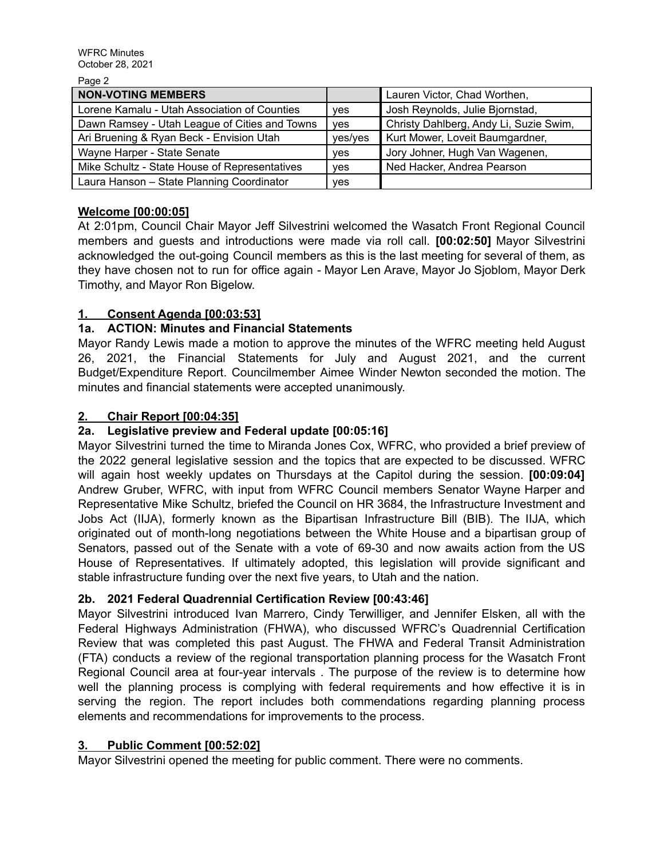Page 2

| $u \vee u$                                    |            |                                        |
|-----------------------------------------------|------------|----------------------------------------|
| <b>NON-VOTING MEMBERS</b>                     |            | Lauren Victor, Chad Worthen,           |
| Lorene Kamalu - Utah Association of Counties  | yes        | Josh Reynolds, Julie Bjornstad,        |
| Dawn Ramsey - Utah League of Cities and Towns | <b>ves</b> | Christy Dahlberg, Andy Li, Suzie Swim, |
| Ari Bruening & Ryan Beck - Envision Utah      | yes/yes    | Kurt Mower, Loveit Baumgardner,        |
| Wayne Harper - State Senate                   | yes        | Jory Johner, Hugh Van Wagenen,         |
| Mike Schultz - State House of Representatives | ves        | Ned Hacker, Andrea Pearson             |
| Laura Hanson - State Planning Coordinator     | yes        |                                        |

# **Welcome [00:00:05]**

At 2:01pm, Council Chair Mayor Jeff Silvestrini welcomed the Wasatch Front Regional Council members and guests and introductions were made via roll call. **[00:02:50]** Mayor Silvestrini acknowledged the out-going Council members as this is the last meeting for several of them, as they have chosen not to run for office again - Mayor Len Arave, Mayor Jo Sjoblom, Mayor Derk Timothy, and Mayor Ron Bigelow.

# **1. Consent Agenda [00:03:53]**

# **1a. ACTION: Minutes and Financial Statements**

Mayor Randy Lewis made a motion to approve the minutes of the WFRC meeting held August 26, 2021, the Financial Statements for July and August 2021, and the current Budget/Expenditure Report. Councilmember Aimee Winder Newton seconded the motion. The minutes and financial statements were accepted unanimously.

# **2. Chair Report [00:04:35]**

# **2a. Legislative preview and Federal update [00:05:16]**

Mayor Silvestrini turned the time to Miranda Jones Cox, WFRC, who provided a brief preview of the 2022 general legislative session and the topics that are expected to be discussed. WFRC will again host weekly updates on Thursdays at the Capitol during the session. **[00:09:04]** Andrew Gruber, WFRC, with input from WFRC Council members Senator Wayne Harper and Representative Mike Schultz, briefed the Council on HR 3684, the Infrastructure Investment and Jobs Act (IIJA), formerly known as the Bipartisan Infrastructure Bill (BIB). The IIJA, which originated out of month-long negotiations between the White House and a bipartisan group of Senators, passed out of the Senate with a vote of 69-30 and now awaits action from the US House of Representatives. If ultimately adopted, this legislation will provide significant and stable infrastructure funding over the next five years, to Utah and the nation.

## **2b. 2021 Federal Quadrennial Certification Review [00:43:46]**

Mayor Silvestrini introduced Ivan Marrero, Cindy Terwilliger, and Jennifer Elsken, all with the Federal Highways Administration (FHWA), who discussed WFRC's Quadrennial Certification Review that was completed this past August. The FHWA and Federal Transit Administration (FTA) conducts a review of the regional transportation planning process for the Wasatch Front Regional Council area at four-year intervals . The purpose of the review is to determine how well the planning process is complying with federal requirements and how effective it is in serving the region. The report includes both commendations regarding planning process elements and recommendations for improvements to the process.

## **3. Public Comment [00:52:02]**

Mayor Silvestrini opened the meeting for public comment. There were no comments.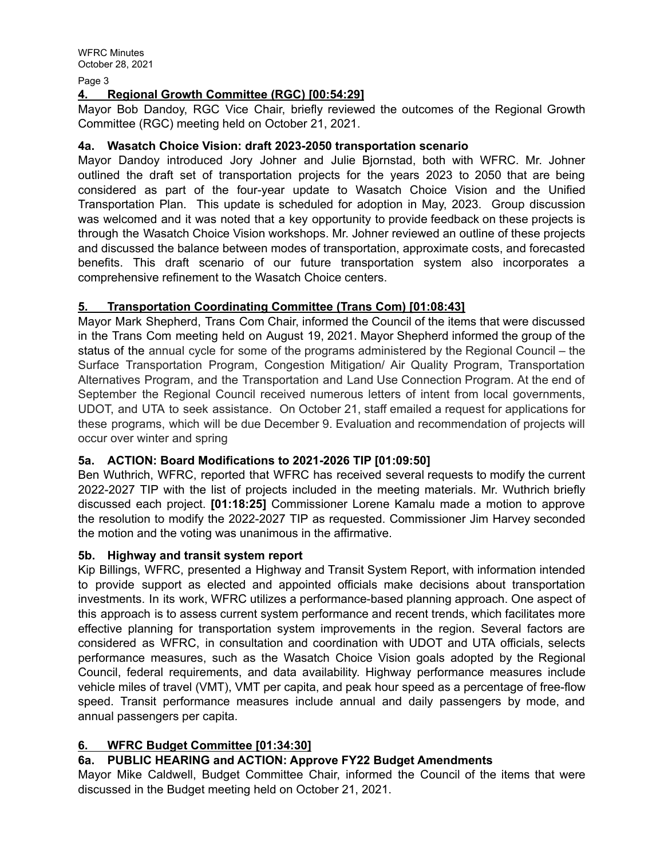Page 3

## **4. Regional Growth Committee (RGC) [00:54:29]**

Mayor Bob Dandoy, RGC Vice Chair, briefly reviewed the outcomes of the Regional Growth Committee (RGC) meeting held on October 21, 2021.

## **4a. Wasatch Choice Vision: draft 2023-2050 transportation scenario**

Mayor Dandoy introduced Jory Johner and Julie Bjornstad, both with WFRC. Mr. Johner outlined the draft set of transportation projects for the years 2023 to 2050 that are being considered as part of the four-year update to Wasatch Choice Vision and the Unified Transportation Plan. This update is scheduled for adoption in May, 2023. Group discussion was welcomed and it was noted that a key opportunity to provide feedback on these projects is through the Wasatch Choice Vision workshops. Mr. Johner reviewed an outline of these projects and discussed the balance between modes of transportation, approximate costs, and forecasted benefits. This draft scenario of our future transportation system also incorporates a comprehensive refinement to the Wasatch Choice centers.

## **5. Transportation Coordinating Committee (Trans Com) [01:08:43]**

Mayor Mark Shepherd, Trans Com Chair, informed the Council of the items that were discussed in the Trans Com meeting held on August 19, 2021. Mayor Shepherd informed the group of the status of the annual cycle for some of the programs administered by the Regional Council – the Surface Transportation Program, Congestion Mitigation/ Air Quality Program, Transportation Alternatives Program, and the Transportation and Land Use Connection Program. At the end of September the Regional Council received numerous letters of intent from local governments, UDOT, and UTA to seek assistance. On October 21, staff emailed a request for applications for these programs, which will be due December 9. Evaluation and recommendation of projects will occur over winter and spring

## **5a. ACTION: Board Modifications to 2021-2026 TIP [01:09:50]**

Ben Wuthrich, WFRC, reported that WFRC has received several requests to modify the current 2022-2027 TIP with the list of projects included in the meeting materials. Mr. Wuthrich briefly discussed each project. **[01:18:25]** Commissioner Lorene Kamalu made a motion to approve the resolution to modify the 2022-2027 TIP as requested. Commissioner Jim Harvey seconded the motion and the voting was unanimous in the affirmative.

## **5b. Highway and transit system report**

Kip Billings, WFRC, presented a Highway and Transit System Report, with information intended to provide support as elected and appointed officials make decisions about transportation investments. In its work, WFRC utilizes a performance-based planning approach. One aspect of this approach is to assess current system performance and recent trends, which facilitates more effective planning for transportation system improvements in the region. Several factors are considered as WFRC, in consultation and coordination with UDOT and UTA officials, selects performance measures, such as the Wasatch Choice Vision goals adopted by the Regional Council, federal requirements, and data availability. Highway performance measures include vehicle miles of travel (VMT), VMT per capita, and peak hour speed as a percentage of free-flow speed. Transit performance measures include annual and daily passengers by mode, and annual passengers per capita.

## **6. WFRC Budget Committee [01:34:30]**

# **6a. PUBLIC HEARING and ACTION: Approve FY22 Budget Amendments**

Mayor Mike Caldwell, Budget Committee Chair, informed the Council of the items that were discussed in the Budget meeting held on October 21, 2021.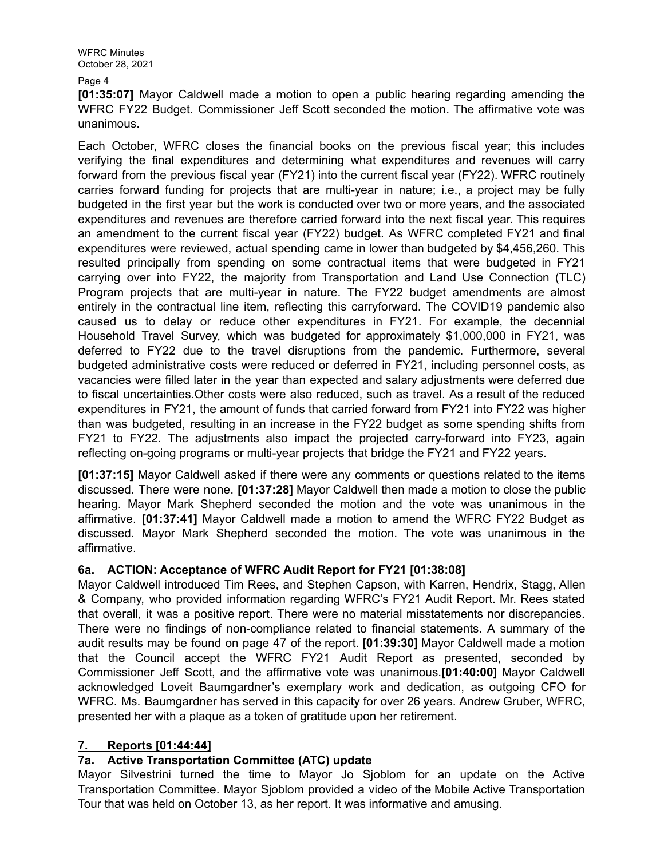WFRC Minutes October 28, 2021

Page 4

**[01:35:07]** Mayor Caldwell made a motion to open a public hearing regarding amending the WFRC FY22 Budget. Commissioner Jeff Scott seconded the motion. The affirmative vote was unanimous.

Each October, WFRC closes the financial books on the previous fiscal year; this includes verifying the final expenditures and determining what expenditures and revenues will carry forward from the previous fiscal year (FY21) into the current fiscal year (FY22). WFRC routinely carries forward funding for projects that are multi-year in nature; i.e., a project may be fully budgeted in the first year but the work is conducted over two or more years, and the associated expenditures and revenues are therefore carried forward into the next fiscal year. This requires an amendment to the current fiscal year (FY22) budget. As WFRC completed FY21 and final expenditures were reviewed, actual spending came in lower than budgeted by \$4,456,260. This resulted principally from spending on some contractual items that were budgeted in FY21 carrying over into FY22, the majority from Transportation and Land Use Connection (TLC) Program projects that are multi-year in nature. The FY22 budget amendments are almost entirely in the contractual line item, reflecting this carryforward. The COVID19 pandemic also caused us to delay or reduce other expenditures in FY21. For example, the decennial Household Travel Survey, which was budgeted for approximately \$1,000,000 in FY21, was deferred to FY22 due to the travel disruptions from the pandemic. Furthermore, several budgeted administrative costs were reduced or deferred in FY21, including personnel costs, as vacancies were filled later in the year than expected and salary adjustments were deferred due to fiscal uncertainties.Other costs were also reduced, such as travel. As a result of the reduced expenditures in FY21, the amount of funds that carried forward from FY21 into FY22 was higher than was budgeted, resulting in an increase in the FY22 budget as some spending shifts from FY21 to FY22. The adjustments also impact the projected carry-forward into FY23, again reflecting on-going programs or multi-year projects that bridge the FY21 and FY22 years.

**[01:37:15]** Mayor Caldwell asked if there were any comments or questions related to the items discussed. There were none. **[01:37:28]** Mayor Caldwell then made a motion to close the public hearing. Mayor Mark Shepherd seconded the motion and the vote was unanimous in the affirmative. **[01:37:41]** Mayor Caldwell made a motion to amend the WFRC FY22 Budget as discussed. Mayor Mark Shepherd seconded the motion. The vote was unanimous in the affirmative.

## **6a. ACTION: Acceptance of WFRC Audit Report for FY21 [01:38:08]**

Mayor Caldwell introduced Tim Rees, and Stephen Capson, with Karren, Hendrix, Stagg, Allen & Company, who provided information regarding WFRC's FY21 Audit Report. Mr. Rees stated that overall, it was a positive report. There were no material misstatements nor discrepancies. There were no findings of non-compliance related to financial statements. A summary of the audit results may be found on page 47 of the report. **[01:39:30]** Mayor Caldwell made a motion that the Council accept the WFRC FY21 Audit Report as presented, seconded by Commissioner Jeff Scott, and the affirmative vote was unanimous.**[01:40:00]** Mayor Caldwell acknowledged Loveit Baumgardner's exemplary work and dedication, as outgoing CFO for WFRC. Ms. Baumgardner has served in this capacity for over 26 years. Andrew Gruber, WFRC, presented her with a plaque as a token of gratitude upon her retirement.

## **7. Reports [01:44:44]**

## **7a. Active Transportation Committee (ATC) update**

Mayor Silvestrini turned the time to Mayor Jo Sjoblom for an update on the Active Transportation Committee. Mayor Sjoblom provided a video of the Mobile Active Transportation Tour that was held on October 13, as her report. It was informative and amusing.